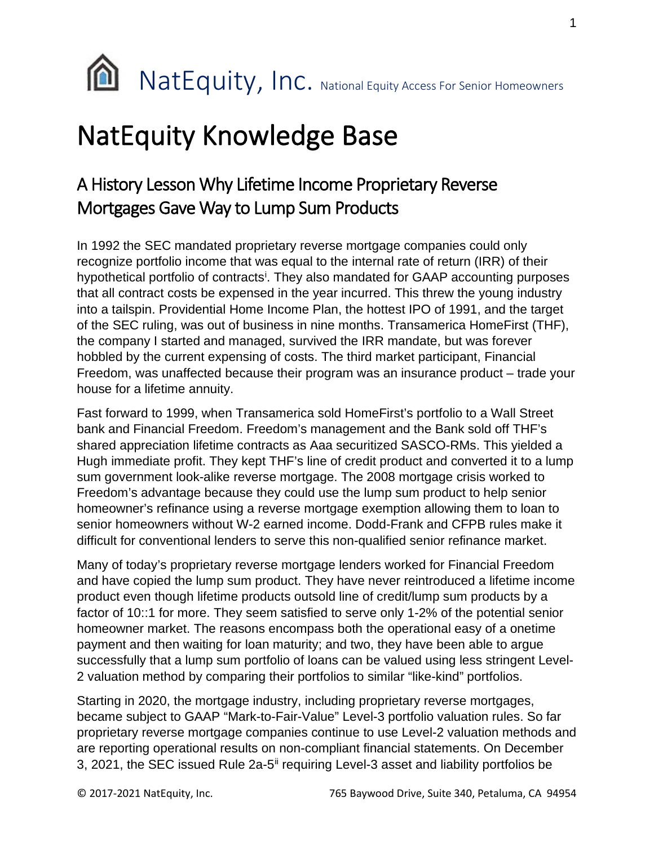

## NatEquity Knowledge Base

## A History Lesson Why Lifetime Income Proprietary Reverse Mortgages Gave Way to Lump Sum Products

In 1992 the SEC mandated proprietary reverse mortgage companies could only recognize portfolio income that was equal to the internal rate of return (IRR) of their hypothet[i](#page-1-0)cal portfolio of contracts<sup>i</sup>. They also mandated for GAAP accounting purposes that all contract costs be expensed in the year incurred. This threw the young industry into a tailspin. Providential Home Income Plan, the hottest IPO of 1991, and the target of the SEC ruling, was out of business in nine months. Transamerica HomeFirst (THF), the company I started and managed, survived the IRR mandate, but was forever hobbled by the current expensing of costs. The third market participant, Financial Freedom, was unaffected because their program was an insurance product – trade your house for a lifetime annuity.

Fast forward to 1999, when Transamerica sold HomeFirst's portfolio to a Wall Street bank and Financial Freedom. Freedom's management and the Bank sold off THF's shared appreciation lifetime contracts as Aaa securitized SASCO-RMs. This yielded a Hugh immediate profit. They kept THF's line of credit product and converted it to a lump sum government look-alike reverse mortgage. The 2008 mortgage crisis worked to Freedom's advantage because they could use the lump sum product to help senior homeowner's refinance using a reverse mortgage exemption allowing them to loan to senior homeowners without W-2 earned income. Dodd-Frank and CFPB rules make it difficult for conventional lenders to serve this non-qualified senior refinance market.

Many of today's proprietary reverse mortgage lenders worked for Financial Freedom and have copied the lump sum product. They have never reintroduced a lifetime income product even though lifetime products outsold line of credit/lump sum products by a factor of 10::1 for more. They seem satisfied to serve only 1-2% of the potential senior homeowner market. The reasons encompass both the operational easy of a onetime payment and then waiting for loan maturity; and two, they have been able to argue successfully that a lump sum portfolio of loans can be valued using less stringent Level-2 valuation method by comparing their portfolios to similar "like-kind" portfolios.

Starting in 2020, the mortgage industry, including proprietary reverse mortgages, became subject to GAAP "Mark-to-Fair-Value" Level-3 portfolio valuation rules. So far proprietary reverse mortgage companies continue to use Level-2 valuation methods and are reporting operational results on non-compliant financial statements. On December 3, 2021, the SEC issued Rule 2a-5<sup>[ii](#page-1-1)</sup> requiring Level-3 asset and liability portfolios be